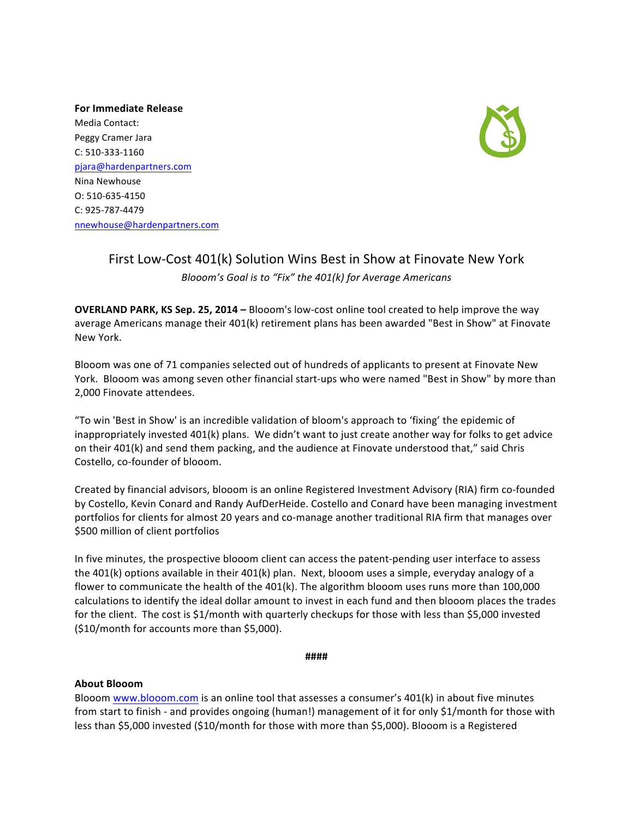**For Immediate Release** Media Contact: Peggy Cramer Jara C: 510-333-1160 pjara@hardenpartners.com Nina Newhouse O: 510-635-4150 C: 925-787-4479 nnewhouse@hardenpartners.com



## First Low-Cost 401(k) Solution Wins Best in Show at Finovate New York *Blooom's Goal is to "Fix" the 401(k)* for Average Americans

**OVERLAND PARK, KS Sep. 25, 2014 – Blooom's low-cost online tool created to help improve the way** average Americans manage their 401(k) retirement plans has been awarded "Best in Show" at Finovate New York.

Blooom was one of 71 companies selected out of hundreds of applicants to present at Finovate New York. Blooom was among seven other financial start-ups who were named "Best in Show" by more than 2,000 Finovate attendees.

"To win 'Best in Show' is an incredible validation of bloom's approach to 'fixing' the epidemic of inappropriately invested 401(k) plans. We didn't want to just create another way for folks to get advice on their 401(k) and send them packing, and the audience at Finovate understood that," said Chris Costello, co-founder of blooom.

Created by financial advisors, blooom is an online Registered Investment Advisory (RIA) firm co-founded by Costello, Kevin Conard and Randy AufDerHeide. Costello and Conard have been managing investment portfolios for clients for almost 20 years and co-manage another traditional RIA firm that manages over \$500 million of client portfolios

In five minutes, the prospective blooom client can access the patent-pending user interface to assess the 401(k) options available in their 401(k) plan. Next, blooom uses a simple, everyday analogy of a flower to communicate the health of the 401(k). The algorithm blooom uses runs more than 100,000 calculations to identify the ideal dollar amount to invest in each fund and then blooom places the trades for the client. The cost is \$1/month with quarterly checkups for those with less than \$5,000 invested  $(510/m$  onth for accounts more than \$5,000).

**####**

## **About Blooom**

Blooom www.blooom.com is an online tool that assesses a consumer's 401(k) in about five minutes from start to finish - and provides ongoing (human!) management of it for only \$1/month for those with less than \$5,000 invested (\$10/month for those with more than \$5,000). Blooom is a Registered